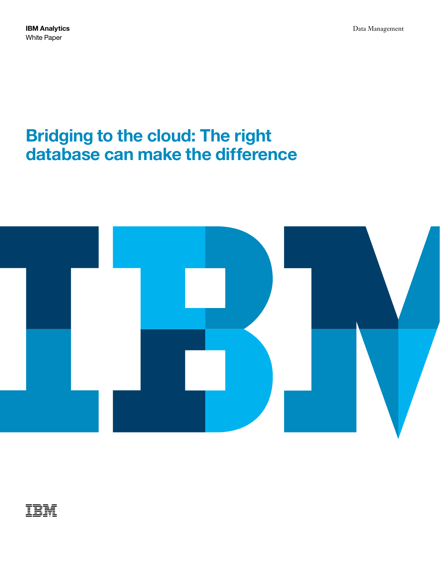# **Bridging to the cloud: The right database can make the difference**



## ĪĒM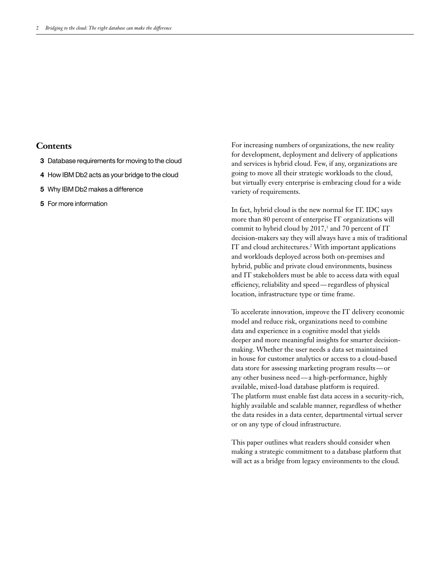### **Contents**

- **3** Database requirements for moving to the cloud
- **4** How IBM Db2 acts as your bridge to the cloud
- **5** Why IBM Db2 makes a difference
- **5** For more information

For increasing numbers of organizations, the new reality for development, deployment and delivery of applications and services is hybrid cloud. Few, if any, organizations are going to move all their strategic workloads to the cloud, but virtually every enterprise is embracing cloud for a wide variety of requirements.

In fact, hybrid cloud is the new normal for IT. IDC says more than 80 percent of enterprise IT organizations will commit to hybrid cloud by 2017, $\frac{1}{2}$  and 70 percent of IT decision-makers say they will always have a mix of traditional IT and cloud architectures.<sup>2</sup> With important applications and workloads deployed across both on-premises and hybrid, public and private cloud environments, business and IT stakeholders must be able to access data with equal efficiency, reliability and speed—regardless of physical location, infrastructure type or time frame.

To accelerate innovation, improve the IT delivery economic model and reduce risk, organizations need to combine data and experience in a cognitive model that yields deeper and more meaningful insights for smarter decisionmaking. Whether the user needs a data set maintained in house for customer analytics or access to a cloud-based data store for assessing marketing program results—or any other business need—a high-performance, highly available, mixed-load database platform is required. The platform must enable fast data access in a security-rich, highly available and scalable manner, regardless of whether the data resides in a data center, departmental virtual server or on any type of cloud infrastructure.

This paper outlines what readers should consider when making a strategic commitment to a database platform that will act as a bridge from legacy environments to the cloud.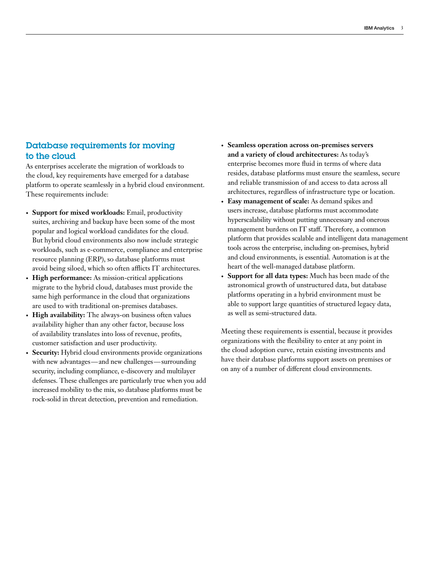## Database requirements for moving to the cloud

As enterprises accelerate the migration of workloads to the cloud, key requirements have emerged for a database platform to operate seamlessly in a hybrid cloud environment. These requirements include:

- **• Support for mixed workloads:** Email, productivity suites, archiving and backup have been some of the most popular and logical workload candidates for the cloud. But hybrid cloud environments also now include strategic workloads, such as e-commerce, compliance and enterprise resource planning (ERP), so database platforms must avoid being siloed, which so often afflicts IT architectures.
- **• High performance:** As mission-critical applications migrate to the hybrid cloud, databases must provide the same high performance in the cloud that organizations are used to with traditional on-premises databases.
- **• High availability:** The always-on business often values availability higher than any other factor, because loss of availability translates into loss of revenue, profits, customer satisfaction and user productivity.
- **• Security:** Hybrid cloud environments provide organizations with new advantages—and new challenges—surrounding security, including compliance, e-discovery and multilayer defenses. These challenges are particularly true when you add increased mobility to the mix, so database platforms must be rock-solid in threat detection, prevention and remediation.
- **• Seamless operation across on-premises servers and a variety of cloud architectures:** As today's enterprise becomes more fluid in terms of where data resides, database platforms must ensure the seamless, secure and reliable transmission of and access to data across all architectures, regardless of infrastructure type or location.
- **• Easy management of scale:** As demand spikes and users increase, database platforms must accommodate hyperscalability without putting unnecessary and onerous management burdens on IT staff. Therefore, a common platform that provides scalable and intelligent data management tools across the enterprise, including on-premises, hybrid and cloud environments, is essential. Automation is at the heart of the well-managed database platform.
- **• Support for all data types:** Much has been made of the astronomical growth of unstructured data, but database platforms operating in a hybrid environment must be able to support large quantities of structured legacy data, as well as semi-structured data.

Meeting these requirements is essential, because it provides organizations with the flexibility to enter at any point in the cloud adoption curve, retain existing investments and have their database platforms support assets on premises or on any of a number of different cloud environments.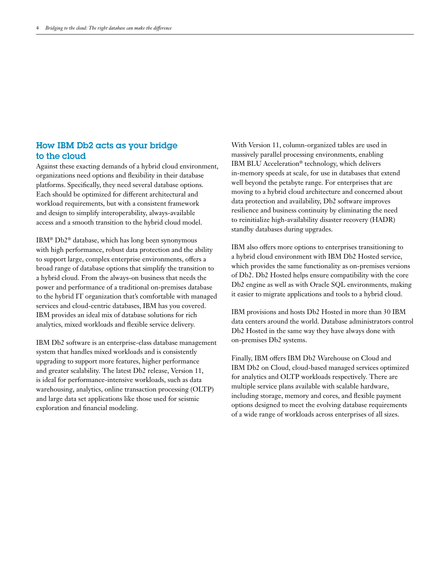## How IBM Db2 acts as your bridge to the cloud

Against these exacting demands of a hybrid cloud environment, organizations need options and flexibility in their database platforms. Specifically, they need several database options. Each should be optimized for different architectural and workload requirements, but with a consistent framework and design to simplify interoperability, always-available access and a smooth transition to the hybrid cloud model.

IBM® Db2® database, which has long been synonymous with high performance, robust data protection and the ability to support large, complex enterprise environments, offers a broad range of database options that simplify the transition to a hybrid cloud. From the always-on business that needs the power and performance of a traditional on-premises database to the hybrid IT organization that's comfortable with managed services and cloud-centric databases, IBM has you covered. IBM provides an ideal mix of database solutions for rich analytics, mixed workloads and flexible service delivery.

IBM Db2 software is an enterprise-class database management system that handles mixed workloads and is consistently upgrading to support more features, higher performance and greater scalability. The latest Db2 release, Version 11, is ideal for performance-intensive workloads, such as data warehousing, analytics, online transaction processing (OLTP) and large data set applications like those used for seismic exploration and financial modeling.

With Version 11, column-organized tables are used in massively parallel processing environments, enabling IBM BLU Acceleration® technology, which delivers in-memory speeds at scale, for use in databases that extend well beyond the petabyte range. For enterprises that are moving to a hybrid cloud architecture and concerned about data protection and availability, Db2 software improves resilience and business continuity by eliminating the need to reinitialize high-availability disaster recovery (HADR) standby databases during upgrades.

IBM also offers more options to enterprises transitioning to a hybrid cloud environment with IBM Db2 Hosted service, which provides the same functionality as on-premises versions of Db2. Db2 Hosted helps ensure compatibility with the core Db2 engine as well as with Oracle SQL environments, making it easier to migrate applications and tools to a hybrid cloud.

IBM provisions and hosts Db2 Hosted in more than 30 IBM data centers around the world. Database administrators control Db2 Hosted in the same way they have always done with on-premises Db2 systems.

Finally, IBM offers IBM Db2 Warehouse on Cloud and IBM Db2 on Cloud, cloud-based managed services optimized for analytics and OLTP workloads respectively. There are multiple service plans available with scalable hardware, including storage, memory and cores, and flexible payment options designed to meet the evolving database requirements of a wide range of workloads across enterprises of all sizes.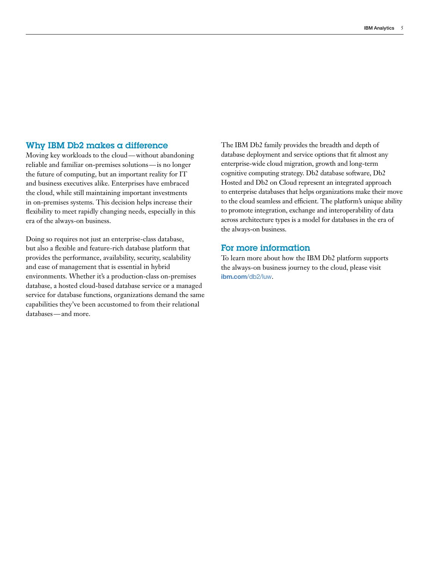#### Why IBM Db2 makes a difference

Moving key workloads to the cloud—without abandoning reliable and familiar on-premises solutions—is no longer the future of computing, but an important reality for IT and business executives alike. Enterprises have embraced the cloud, while still maintaining important investments in on-premises systems. This decision helps increase their flexibility to meet rapidly changing needs, especially in this era of the always-on business.

Doing so requires not just an enterprise-class database, but also a flexible and feature-rich database platform that provides the performance, availability, security, scalability and ease of management that is essential in hybrid environments. Whether it's a production-class on-premises database, a hosted cloud-based database service or a managed service for database functions, organizations demand the same capabilities they've been accustomed to from their relational databases—and more.

The IBM Db2 family provides the breadth and depth of database deployment and service options that fit almost any enterprise-wide cloud migration, growth and long-term cognitive computing strategy. Db2 database software, Db2 Hosted and Db2 on Cloud represent an integrated approach to enterprise databases that helps organizations make their move to the cloud seamless and efficient. The platform's unique ability to promote integration, exchange and interoperability of data across architecture types is a model for databases in the era of the always-on business.

#### For more information

To learn more about how the IBM Db2 platform supports the always-on business journey to the cloud, please visit **[ibm.com](https://www.ibm.com/analytics/us/en/db2/db2-linux-unix-windows/)**/db2/luw.